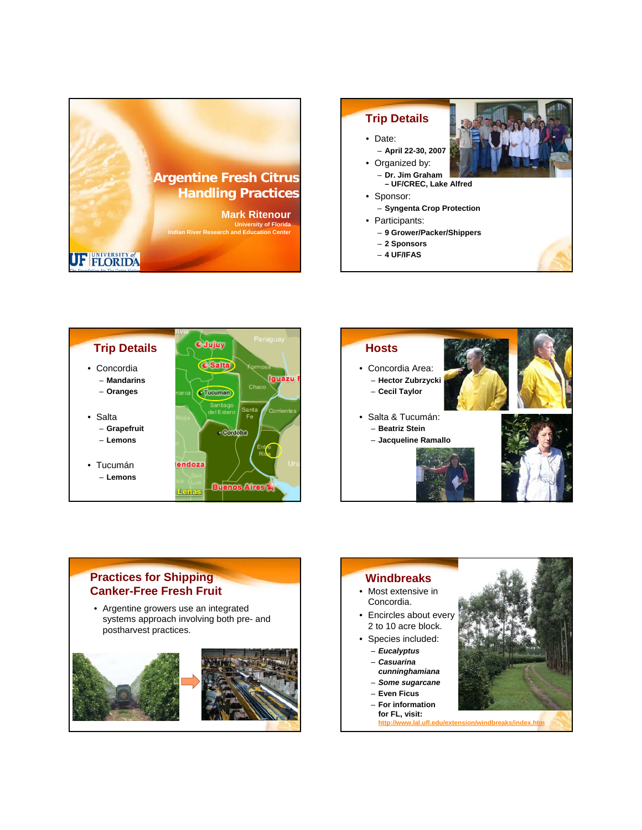







## **Practices for Shipping Canker-Free Fresh Fruit**

• Argentine growers use an integrated systems approach involving both pre- and postharvest practices.



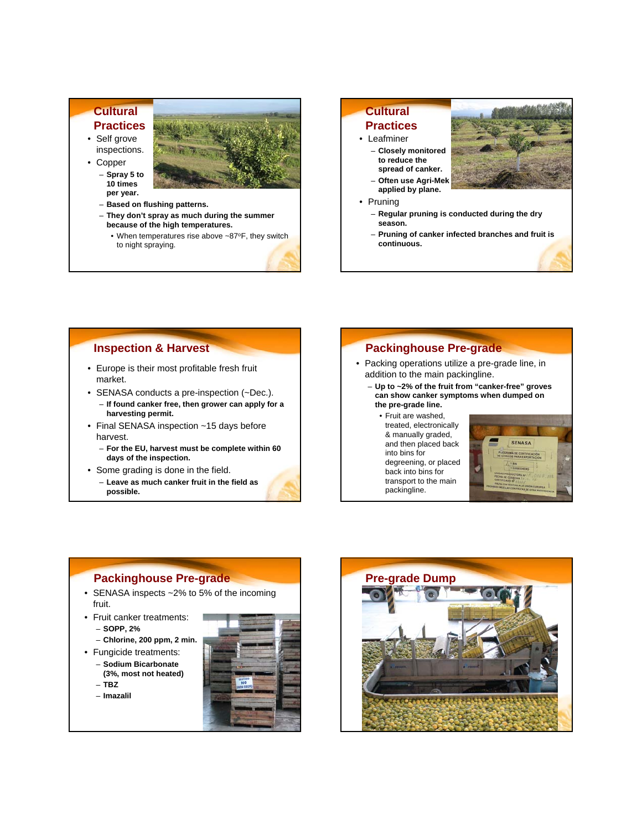### **Cultural Practices**

• Self grove inspections.





- **They don't spray as much during the summer because of the high temperatures.**
	- When temperatures rise above ~87°F, they switch to night spraying.

# **Cultural Practices**

- Leafminer – **Closely monitored to reduce the spread of canker.**
	- **Often use Agri-Mek applied by plane.**
- Pruning



- **Regular pruning is conducted during the dry season.**
- **Pruning of canker infected branches and fruit is continuous.**

#### **Inspection & Harvest**

- Europe is their most profitable fresh fruit market.
- SENASA conducts a pre-inspection (~Dec.).
- **If found canker free, then grower can apply for a harvesting permit.**
- Final SENASA inspection ~15 days before harvest.
	- **For the EU, harvest must be complete within 60 days of the inspection.**
- Some grading is done in the field.
	- **Leave as much canker fruit in the field as possible.**

### **Packinghouse Pre-grade**

- Packing operations utilize a pre-grade line, in addition to the main packingline.
	- **Up to ~2% of the fruit from "canker-free" groves can show canker symptoms when dumped on the pre-grade line.**
		- Fruit are washed, treated, electronically & manually graded, and then placed back into bins for degreening, or placed back into bins for transport to the main packingline.



### **Packinghouse Pre-grade**

- SENASA inspects ~2% to 5% of the incoming fruit.
- Fruit canker treatments:
	- **SOPP, 2%**
	- **Chlorine, 200 ppm, 2 min.**
- Fungicide treatments: – **Sodium Bicarbonate** 
	- **(3%, most not heated)** – **TBZ**
	- **Imazalil**



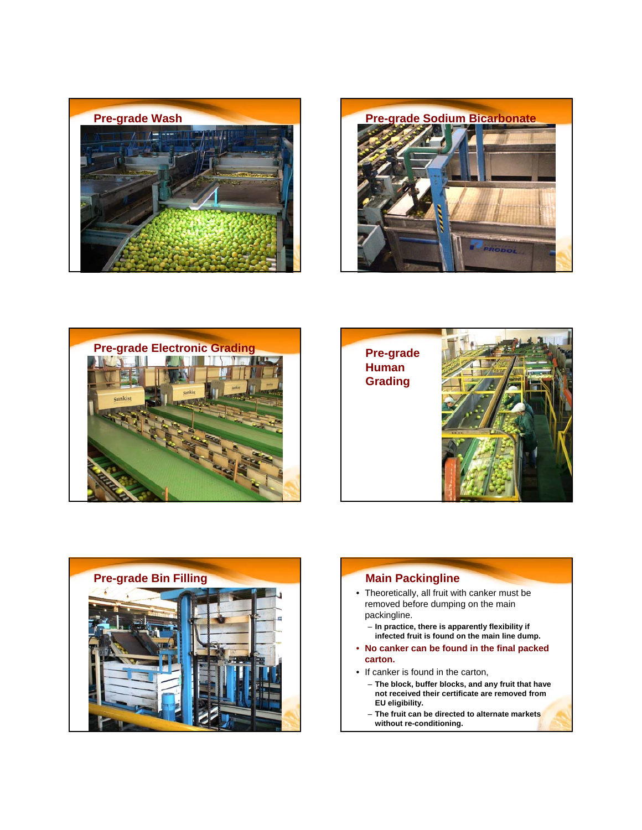









- Theoretically, all fruit with canker must be removed before dumping on the main packingline.
	- **In practice, there is apparently flexibility if infected fruit is found on the main line dump.**
- **No canker can be found in the final packed carton.**
- If canker is found in the carton,
	- **The block, buffer blocks, and any fruit that have not received their certificate are removed from EU eligibility.**
	- **The fruit can be directed to alternate markets without re-conditioning.**